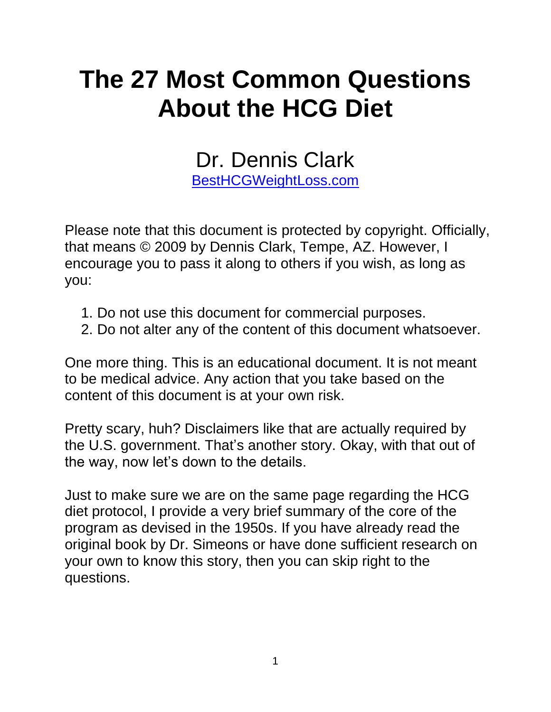# **The 27 Most Common Questions About the HCG Diet**

Dr. Dennis Clark

[BestHCGWeightLoss.com](http://besthcgweightloss.com/)

Please note that this document is protected by copyright. Officially, that means © 2009 by Dennis Clark, Tempe, AZ. However, I encourage you to pass it along to others if you wish, as long as you:

- 1. Do not use this document for commercial purposes.
- 2. Do not alter any of the content of this document whatsoever.

One more thing. This is an educational document. It is not meant to be medical advice. Any action that you take based on the content of this document is at your own risk.

Pretty scary, huh? Disclaimers like that are actually required by the U.S. government. That's another story. Okay, with that out of the way, now let's down to the details.

Just to make sure we are on the same page regarding the HCG diet protocol, I provide a very brief summary of the core of the program as devised in the 1950s. If you have already read the original book by Dr. Simeons or have done sufficient research on your own to know this story, then you can skip right to the questions.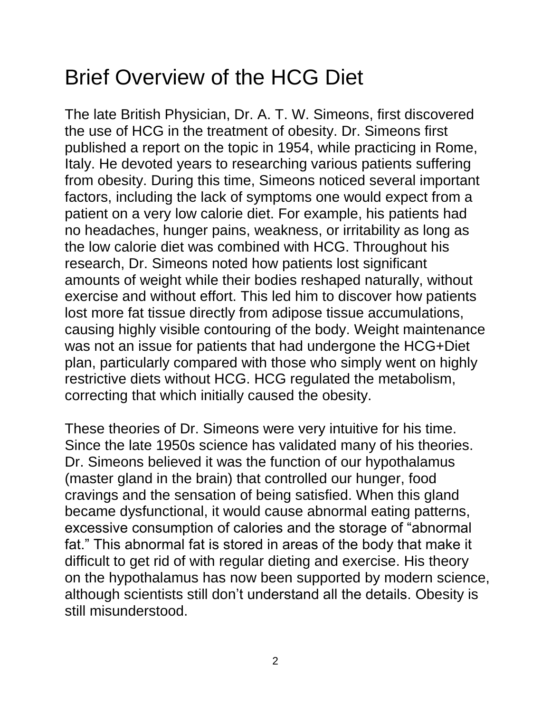# Brief Overview of the HCG Diet

The late British Physician, Dr. A. T. W. Simeons, first discovered the use of HCG in the treatment of obesity. Dr. Simeons first published a report on the topic in 1954, while practicing in Rome, Italy. He devoted years to researching various patients suffering from obesity. During this time, Simeons noticed several important factors, including the lack of symptoms one would expect from a patient on a very low calorie diet. For example, his patients had no headaches, hunger pains, weakness, or irritability as long as the low calorie diet was combined with HCG. Throughout his research, Dr. Simeons noted how patients lost significant amounts of weight while their bodies reshaped naturally, without exercise and without effort. This led him to discover how patients lost more fat tissue directly from adipose tissue accumulations, causing highly visible contouring of the body. Weight maintenance was not an issue for patients that had undergone the HCG+Diet plan, particularly compared with those who simply went on highly restrictive diets without HCG. HCG regulated the metabolism, correcting that which initially caused the obesity.

These theories of Dr. Simeons were very intuitive for his time. Since the late 1950s science has validated many of his theories. Dr. Simeons believed it was the function of our hypothalamus (master gland in the brain) that controlled our hunger, food cravings and the sensation of being satisfied. When this gland became dysfunctional, it would cause abnormal eating patterns, excessive consumption of calories and the storage of "abnormal fat." This abnormal fat is stored in areas of the body that make it difficult to get rid of with regular dieting and exercise. His theory on the hypothalamus has now been supported by modern science, although scientists still don"t understand all the details. Obesity is still misunderstood.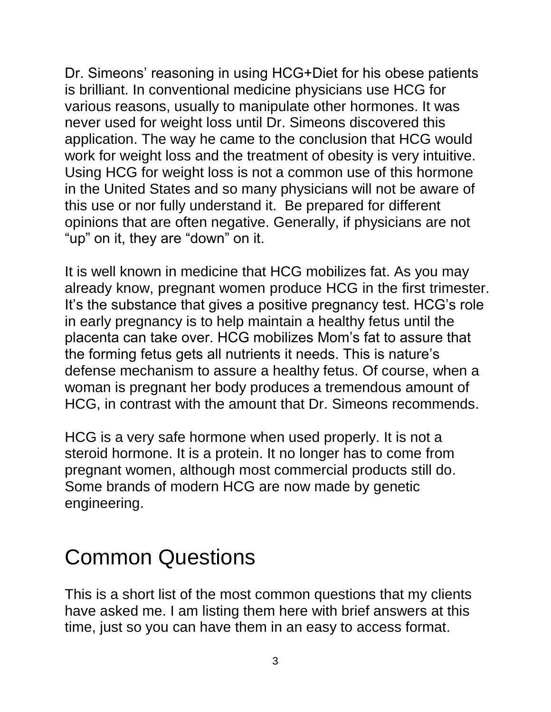Dr. Simeons' reasoning in using HCG+Diet for his obese patients is brilliant. In conventional medicine physicians use HCG for various reasons, usually to manipulate other hormones. It was never used for weight loss until Dr. Simeons discovered this application. The way he came to the conclusion that HCG would work for weight loss and the treatment of obesity is very intuitive. Using HCG for weight loss is not a common use of this hormone in the United States and so many physicians will not be aware of this use or nor fully understand it. Be prepared for different opinions that are often negative. Generally, if physicians are not "up" on it, they are "down" on it.

It is well known in medicine that HCG mobilizes fat. As you may already know, pregnant women produce HCG in the first trimester. It's the substance that gives a positive pregnancy test. HCG's role in early pregnancy is to help maintain a healthy fetus until the placenta can take over. HCG mobilizes Mom"s fat to assure that the forming fetus gets all nutrients it needs. This is nature"s defense mechanism to assure a healthy fetus. Of course, when a woman is pregnant her body produces a tremendous amount of HCG, in contrast with the amount that Dr. Simeons recommends.

HCG is a very safe hormone when used properly. It is not a steroid hormone. It is a protein. It no longer has to come from pregnant women, although most commercial products still do. Some brands of modern HCG are now made by genetic engineering.

# Common Questions

This is a short list of the most common questions that my clients have asked me. I am listing them here with brief answers at this time, just so you can have them in an easy to access format.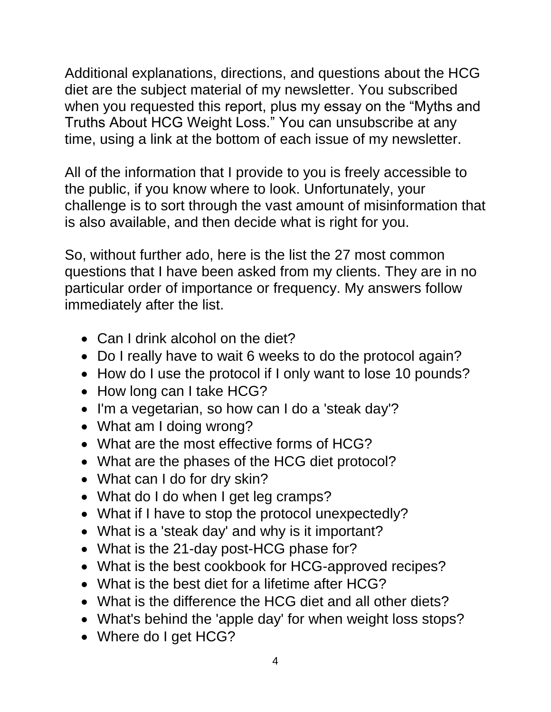Additional explanations, directions, and questions about the HCG diet are the subject material of my newsletter. You subscribed when you requested this report, plus my essay on the "Myths and Truths About HCG Weight Loss." You can unsubscribe at any time, using a link at the bottom of each issue of my newsletter.

All of the information that I provide to you is freely accessible to the public, if you know where to look. Unfortunately, your challenge is to sort through the vast amount of misinformation that is also available, and then decide what is right for you.

So, without further ado, here is the list the 27 most common questions that I have been asked from my clients. They are in no particular order of importance or frequency. My answers follow immediately after the list.

- Can I drink alcohol on the diet?
- Do I really have to wait 6 weeks to do the protocol again?
- How do I use the protocol if I only want to lose 10 pounds?
- How long can I take HCG?
- I'm a vegetarian, so how can I do a 'steak day'?
- What am I doing wrong?
- What are the most effective forms of HCG?
- What are the phases of the HCG diet protocol?
- What can I do for dry skin?
- What do I do when I get leg cramps?
- What if I have to stop the protocol unexpectedly?
- What is a 'steak day' and why is it important?
- What is the 21-day post-HCG phase for?
- What is the best cookbook for HCG-approved recipes?
- What is the best diet for a lifetime after HCG?
- What is the difference the HCG diet and all other diets?
- What's behind the 'apple day' for when weight loss stops?
- Where do I get HCG?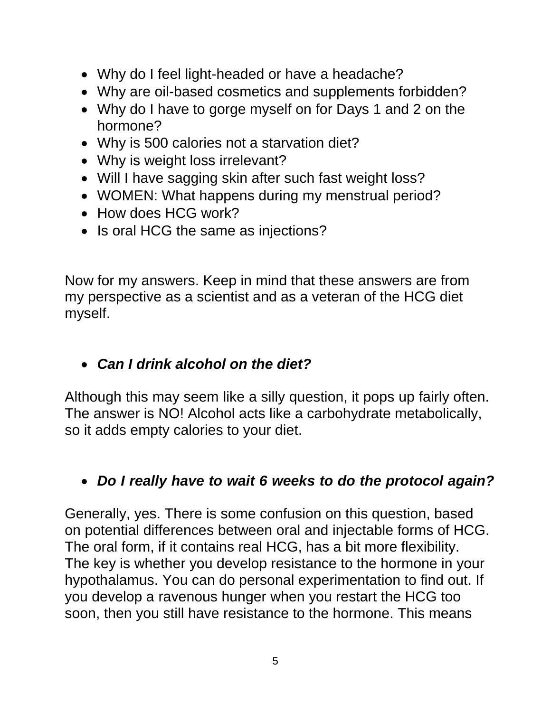- Why do I feel light-headed or have a headache?
- Why are oil-based cosmetics and supplements forbidden?
- Why do I have to gorge myself on for Days 1 and 2 on the hormone?
- Why is 500 calories not a starvation diet?
- Why is weight loss irrelevant?
- Will I have sagging skin after such fast weight loss?
- WOMEN: What happens during my menstrual period?
- How does HCG work?
- Is oral HCG the same as injections?

Now for my answers. Keep in mind that these answers are from my perspective as a scientist and as a veteran of the HCG diet myself.

#### *Can I drink alcohol on the diet?*

Although this may seem like a silly question, it pops up fairly often. The answer is NO! Alcohol acts like a carbohydrate metabolically, so it adds empty calories to your diet.

#### *Do I really have to wait 6 weeks to do the protocol again?*

Generally, yes. There is some confusion on this question, based on potential differences between oral and injectable forms of HCG. The oral form, if it contains real HCG, has a bit more flexibility. The key is whether you develop resistance to the hormone in your hypothalamus. You can do personal experimentation to find out. If you develop a ravenous hunger when you restart the HCG too soon, then you still have resistance to the hormone. This means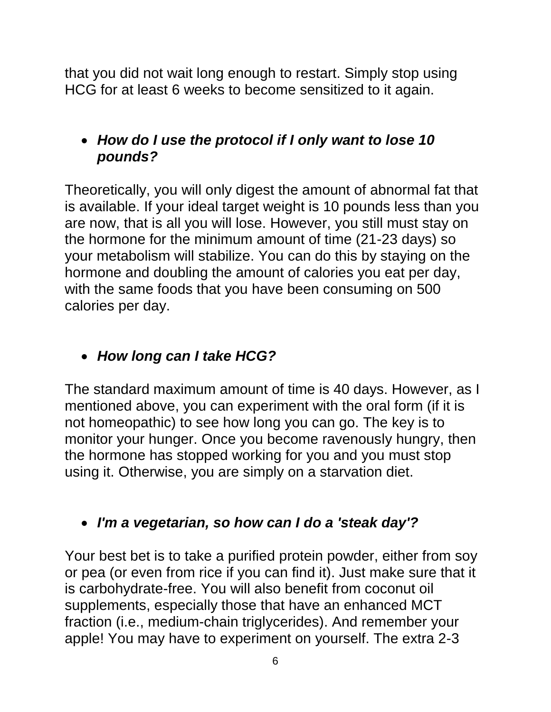that you did not wait long enough to restart. Simply stop using HCG for at least 6 weeks to become sensitized to it again.

#### *How do I use the protocol if I only want to lose 10 pounds?*

Theoretically, you will only digest the amount of abnormal fat that is available. If your ideal target weight is 10 pounds less than you are now, that is all you will lose. However, you still must stay on the hormone for the minimum amount of time (21-23 days) so your metabolism will stabilize. You can do this by staying on the hormone and doubling the amount of calories you eat per day, with the same foods that you have been consuming on 500 calories per day.

#### *How long can I take HCG?*

The standard maximum amount of time is 40 days. However, as I mentioned above, you can experiment with the oral form (if it is not homeopathic) to see how long you can go. The key is to monitor your hunger. Once you become ravenously hungry, then the hormone has stopped working for you and you must stop using it. Otherwise, you are simply on a starvation diet.

## *I'm a vegetarian, so how can I do a 'steak day'?*

Your best bet is to take a purified protein powder, either from soy or pea (or even from rice if you can find it). Just make sure that it is carbohydrate-free. You will also benefit from coconut oil supplements, especially those that have an enhanced MCT fraction (i.e., medium-chain triglycerides). And remember your apple! You may have to experiment on yourself. The extra 2-3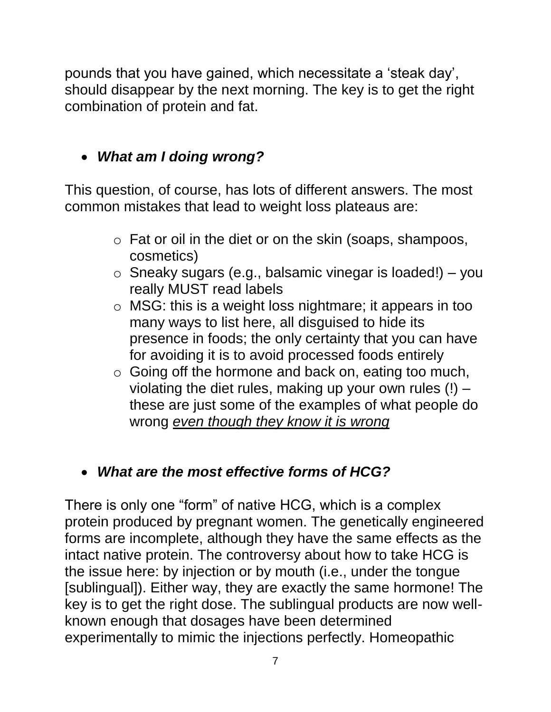pounds that you have gained, which necessitate a "steak day", should disappear by the next morning. The key is to get the right combination of protein and fat.

# *What am I doing wrong?*

This question, of course, has lots of different answers. The most common mistakes that lead to weight loss plateaus are:

- o Fat or oil in the diet or on the skin (soaps, shampoos, cosmetics)
- $\circ$  Sneaky sugars (e.g., balsamic vinegar is loaded!) you really MUST read labels
- o MSG: this is a weight loss nightmare; it appears in too many ways to list here, all disguised to hide its presence in foods; the only certainty that you can have for avoiding it is to avoid processed foods entirely
- o Going off the hormone and back on, eating too much, violating the diet rules, making up your own rules (!) – these are just some of the examples of what people do wrong *even though they know it is wrong*

## *What are the most effective forms of HCG?*

There is only one "form" of native HCG, which is a complex protein produced by pregnant women. The genetically engineered forms are incomplete, although they have the same effects as the intact native protein. The controversy about how to take HCG is the issue here: by injection or by mouth (i.e., under the tongue [sublingual]). Either way, they are exactly the same hormone! The key is to get the right dose. The sublingual products are now wellknown enough that dosages have been determined experimentally to mimic the injections perfectly. Homeopathic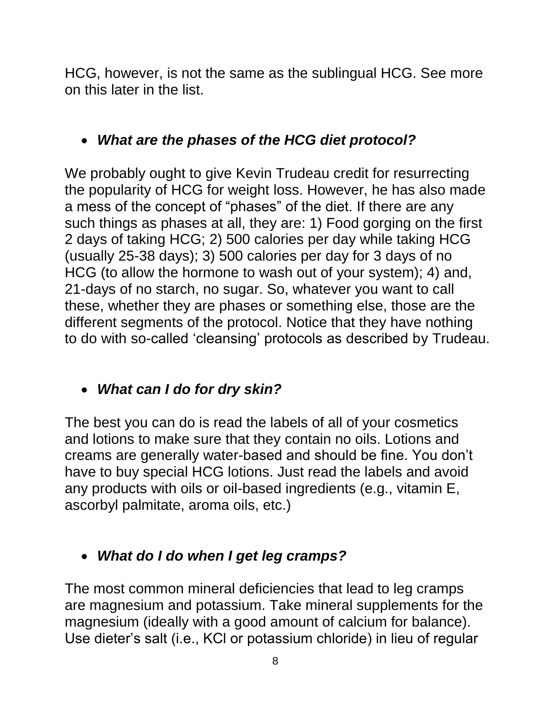HCG, however, is not the same as the sublingual HCG. See more on this later in the list.

#### *What are the phases of the HCG diet protocol?*

We probably ought to give Kevin Trudeau credit for resurrecting the popularity of HCG for weight loss. However, he has also made a mess of the concept of "phases" of the diet. If there are any such things as phases at all, they are: 1) Food gorging on the first 2 days of taking HCG; 2) 500 calories per day while taking HCG (usually 25-38 days); 3) 500 calories per day for 3 days of no HCG (to allow the hormone to wash out of your system); 4) and, 21-days of no starch, no sugar. So, whatever you want to call these, whether they are phases or something else, those are the different segments of the protocol. Notice that they have nothing to do with so-called "cleansing" protocols as described by Trudeau.

#### *What can I do for dry skin?*

The best you can do is read the labels of all of your cosmetics and lotions to make sure that they contain no oils. Lotions and creams are generally water-based and should be fine. You don"t have to buy special HCG lotions. Just read the labels and avoid any products with oils or oil-based ingredients (e.g., vitamin E, ascorbyl palmitate, aroma oils, etc.)

#### *What do I do when I get leg cramps?*

The most common mineral deficiencies that lead to leg cramps are magnesium and potassium. Take mineral supplements for the magnesium (ideally with a good amount of calcium for balance). Use dieter"s salt (i.e., KCl or potassium chloride) in lieu of regular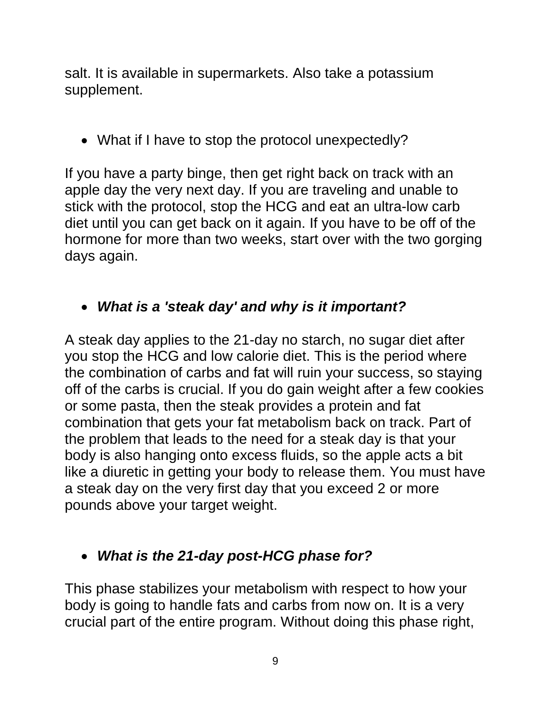salt. It is available in supermarkets. Also take a potassium supplement.

• What if I have to stop the protocol unexpectedly?

If you have a party binge, then get right back on track with an apple day the very next day. If you are traveling and unable to stick with the protocol, stop the HCG and eat an ultra-low carb diet until you can get back on it again. If you have to be off of the hormone for more than two weeks, start over with the two gorging days again.

#### *What is a 'steak day' and why is it important?*

A steak day applies to the 21-day no starch, no sugar diet after you stop the HCG and low calorie diet. This is the period where the combination of carbs and fat will ruin your success, so staying off of the carbs is crucial. If you do gain weight after a few cookies or some pasta, then the steak provides a protein and fat combination that gets your fat metabolism back on track. Part of the problem that leads to the need for a steak day is that your body is also hanging onto excess fluids, so the apple acts a bit like a diuretic in getting your body to release them. You must have a steak day on the very first day that you exceed 2 or more pounds above your target weight.

#### *What is the 21-day post-HCG phase for?*

This phase stabilizes your metabolism with respect to how your body is going to handle fats and carbs from now on. It is a very crucial part of the entire program. Without doing this phase right,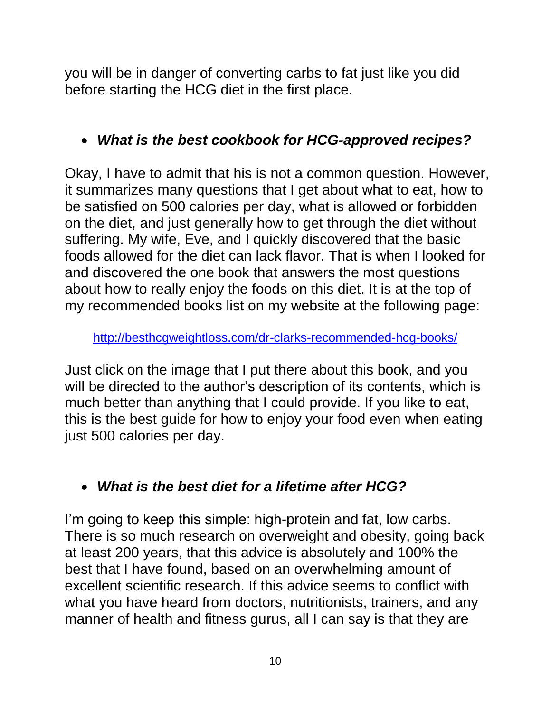you will be in danger of converting carbs to fat just like you did before starting the HCG diet in the first place.

#### *What is the best cookbook for HCG-approved recipes?*

Okay, I have to admit that his is not a common question. However, it summarizes many questions that I get about what to eat, how to be satisfied on 500 calories per day, what is allowed or forbidden on the diet, and just generally how to get through the diet without suffering. My wife, Eve, and I quickly discovered that the basic foods allowed for the diet can lack flavor. That is when I looked for and discovered the one book that answers the most questions about how to really enjoy the foods on this diet. It is at the top of my recommended books list on my website at the following page:

<http://besthcgweightloss.com/dr-clarks-recommended-hcg-books/>

Just click on the image that I put there about this book, and you will be directed to the author's description of its contents, which is much better than anything that I could provide. If you like to eat, this is the best guide for how to enjoy your food even when eating just 500 calories per day.

## *What is the best diet for a lifetime after HCG?*

I'm going to keep this simple: high-protein and fat, low carbs. There is so much research on overweight and obesity, going back at least 200 years, that this advice is absolutely and 100% the best that I have found, based on an overwhelming amount of excellent scientific research. If this advice seems to conflict with what you have heard from doctors, nutritionists, trainers, and any manner of health and fitness gurus, all I can say is that they are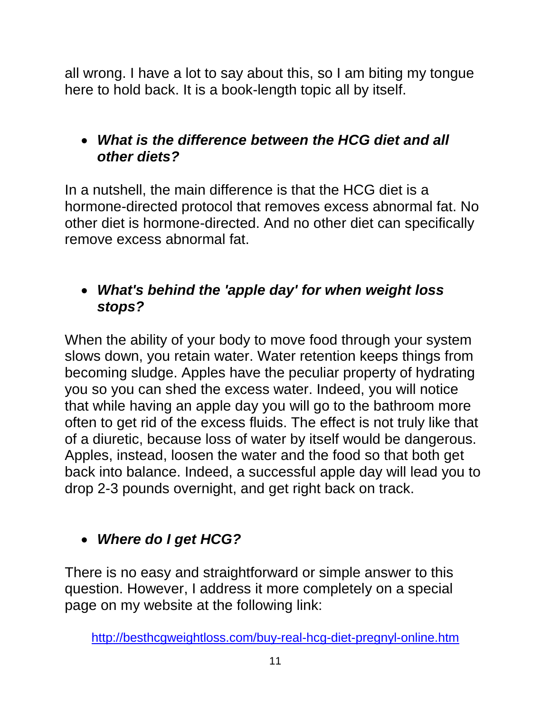all wrong. I have a lot to say about this, so I am biting my tongue here to hold back. It is a book-length topic all by itself.

#### *What is the difference between the HCG diet and all other diets?*

In a nutshell, the main difference is that the HCG diet is a hormone-directed protocol that removes excess abnormal fat. No other diet is hormone-directed. And no other diet can specifically remove excess abnormal fat.

#### *What's behind the 'apple day' for when weight loss stops?*

When the ability of your body to move food through your system slows down, you retain water. Water retention keeps things from becoming sludge. Apples have the peculiar property of hydrating you so you can shed the excess water. Indeed, you will notice that while having an apple day you will go to the bathroom more often to get rid of the excess fluids. The effect is not truly like that of a diuretic, because loss of water by itself would be dangerous. Apples, instead, loosen the water and the food so that both get back into balance. Indeed, a successful apple day will lead you to drop 2-3 pounds overnight, and get right back on track.

# *Where do I get HCG?*

There is no easy and straightforward or simple answer to this question. However, I address it more completely on a special page on my website at the following link: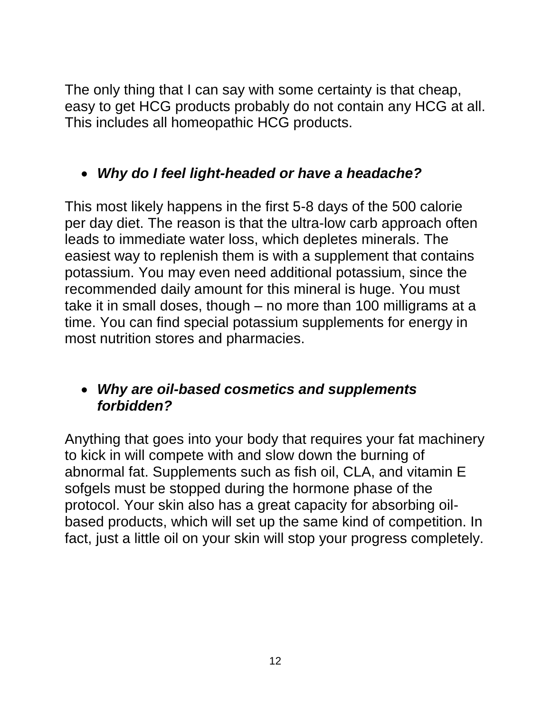The only thing that I can say with some certainty is that cheap, easy to get HCG products probably do not contain any HCG at all. This includes all homeopathic HCG products.

## *Why do I feel light-headed or have a headache?*

This most likely happens in the first 5-8 days of the 500 calorie per day diet. The reason is that the ultra-low carb approach often leads to immediate water loss, which depletes minerals. The easiest way to replenish them is with a supplement that contains potassium. You may even need additional potassium, since the recommended daily amount for this mineral is huge. You must take it in small doses, though – no more than 100 milligrams at a time. You can find special potassium supplements for energy in most nutrition stores and pharmacies.

#### *Why are oil-based cosmetics and supplements forbidden?*

Anything that goes into your body that requires your fat machinery to kick in will compete with and slow down the burning of abnormal fat. Supplements such as fish oil, CLA, and vitamin E sofgels must be stopped during the hormone phase of the protocol. Your skin also has a great capacity for absorbing oilbased products, which will set up the same kind of competition. In fact, just a little oil on your skin will stop your progress completely.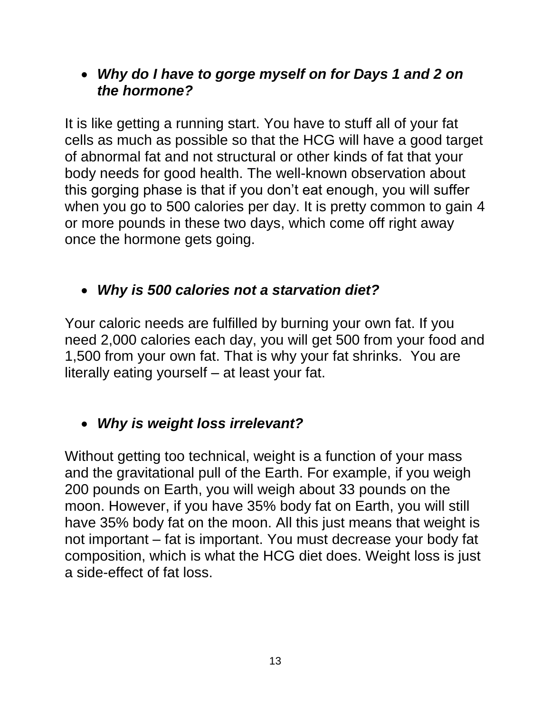*Why do I have to gorge myself on for Days 1 and 2 on the hormone?*

It is like getting a running start. You have to stuff all of your fat cells as much as possible so that the HCG will have a good target of abnormal fat and not structural or other kinds of fat that your body needs for good health. The well-known observation about this gorging phase is that if you don"t eat enough, you will suffer when you go to 500 calories per day. It is pretty common to gain 4 or more pounds in these two days, which come off right away once the hormone gets going.

#### *Why is 500 calories not a starvation diet?*

Your caloric needs are fulfilled by burning your own fat. If you need 2,000 calories each day, you will get 500 from your food and 1,500 from your own fat. That is why your fat shrinks. You are literally eating yourself – at least your fat.

#### *Why is weight loss irrelevant?*

Without getting too technical, weight is a function of your mass and the gravitational pull of the Earth. For example, if you weigh 200 pounds on Earth, you will weigh about 33 pounds on the moon. However, if you have 35% body fat on Earth, you will still have 35% body fat on the moon. All this just means that weight is not important – fat is important. You must decrease your body fat composition, which is what the HCG diet does. Weight loss is just a side-effect of fat loss.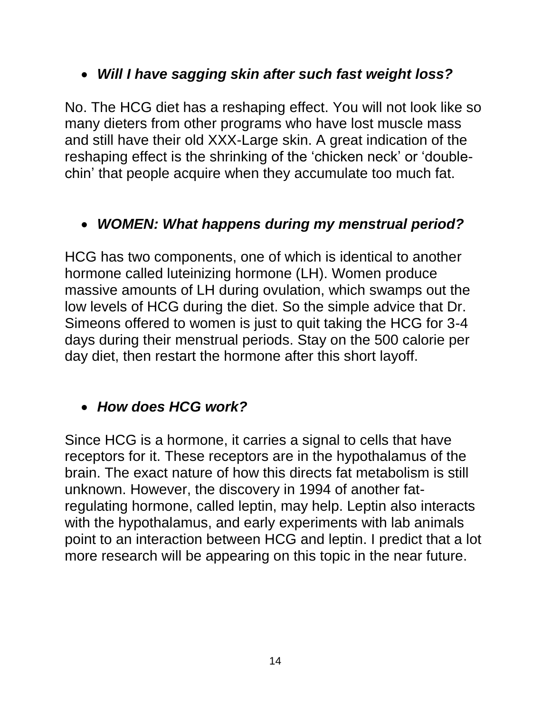#### *Will I have sagging skin after such fast weight loss?*

No. The HCG diet has a reshaping effect. You will not look like so many dieters from other programs who have lost muscle mass and still have their old XXX-Large skin. A great indication of the reshaping effect is the shrinking of the 'chicken neck' or 'doublechin" that people acquire when they accumulate too much fat.

#### *WOMEN: What happens during my menstrual period?*

HCG has two components, one of which is identical to another hormone called luteinizing hormone (LH). Women produce massive amounts of LH during ovulation, which swamps out the low levels of HCG during the diet. So the simple advice that Dr. Simeons offered to women is just to quit taking the HCG for 3-4 days during their menstrual periods. Stay on the 500 calorie per day diet, then restart the hormone after this short layoff.

## *How does HCG work?*

Since HCG is a hormone, it carries a signal to cells that have receptors for it. These receptors are in the hypothalamus of the brain. The exact nature of how this directs fat metabolism is still unknown. However, the discovery in 1994 of another fatregulating hormone, called leptin, may help. Leptin also interacts with the hypothalamus, and early experiments with lab animals point to an interaction between HCG and leptin. I predict that a lot more research will be appearing on this topic in the near future.